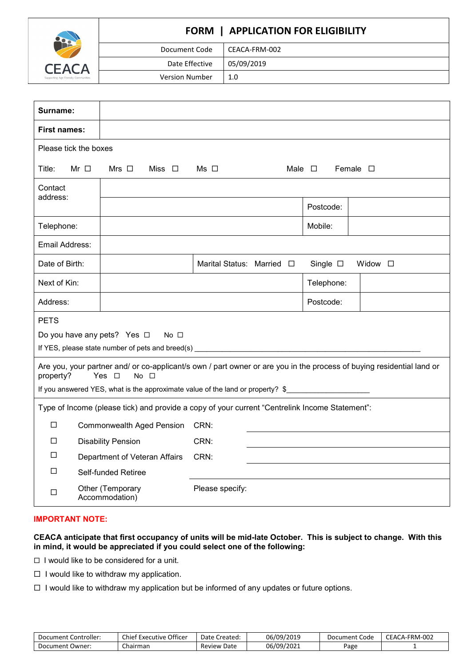

# **FORM | APPLICATION FOR ELIGIBILITY** Document Code | CEACA-FRM-002 Date Effective | 05/09/2019 Version Number | 1.0

| Surname:              |           |                                                                |                                                                                                                       |                  |                  |
|-----------------------|-----------|----------------------------------------------------------------|-----------------------------------------------------------------------------------------------------------------------|------------------|------------------|
| <b>First names:</b>   |           |                                                                |                                                                                                                       |                  |                  |
| Please tick the boxes |           |                                                                |                                                                                                                       |                  |                  |
| Title:                | Mr $\Box$ | Miss $\Box$<br>Mrs $\Box$                                      | $Ms$ $\Box$                                                                                                           | Male $\square$   | Female $\square$ |
| Contact<br>address:   |           |                                                                |                                                                                                                       |                  |                  |
|                       |           |                                                                |                                                                                                                       | Postcode:        |                  |
| Telephone:            |           |                                                                |                                                                                                                       | Mobile:          |                  |
| Email Address:        |           |                                                                |                                                                                                                       |                  |                  |
| Date of Birth:        |           |                                                                | Marital Status: Married □                                                                                             | Single $\square$ | Widow $\square$  |
| Next of Kin:          |           |                                                                |                                                                                                                       | Telephone:       |                  |
| Address:              |           |                                                                |                                                                                                                       | Postcode:        |                  |
| <b>PETS</b>           |           |                                                                |                                                                                                                       |                  |                  |
|                       |           | Do you have any pets? Yes □<br>No <sub>1</sub>                 |                                                                                                                       |                  |                  |
|                       |           | If YES, please state number of pets and breed(s) _____________ |                                                                                                                       |                  |                  |
| property?             |           | Yes $\Box$<br>$No$ $\Box$                                      | Are you, your partner and/ or co-applicant/s own / part owner or are you in the process of buying residential land or |                  |                  |
|                       |           |                                                                | If you answered YES, what is the approximate value of the land or property? \$                                        |                  |                  |
|                       |           |                                                                | Type of Income (please tick) and provide a copy of your current "Centrelink Income Statement":                        |                  |                  |
| $\Box$                |           | <b>Commonwealth Aged Pension</b>                               | CRN:                                                                                                                  |                  |                  |
| □                     |           | <b>Disability Pension</b>                                      | CRN:                                                                                                                  |                  |                  |
| □                     |           | Department of Veteran Affairs                                  | CRN:                                                                                                                  |                  |                  |
| □                     |           | Self-funded Retiree                                            |                                                                                                                       |                  |                  |
| □                     |           | Other (Temporary<br>Accommodation)                             | Please specify:                                                                                                       |                  |                  |

# **IMPORTANT NOTE:**

## **CEACA anticipate that first occupancy of units will be mid-late October. This is subject to change. With this in mind, it would be appreciated if you could select one of the following:**

 $\Box$  I would like to be considered for a unit.

- $\Box$  I would like to withdraw my application.
- $\Box$  I would like to withdraw my application but be informed of any updates or future options.

| Document Controller: | Chief Executive Officer | Date Created:  | 06/09/2019 | Code<br>Document | CEACA-FRM-002 |
|----------------------|-------------------------|----------------|------------|------------------|---------------|
| Document Owner:      | Chairman                | Review<br>Date | 06/09/2021 | Page             |               |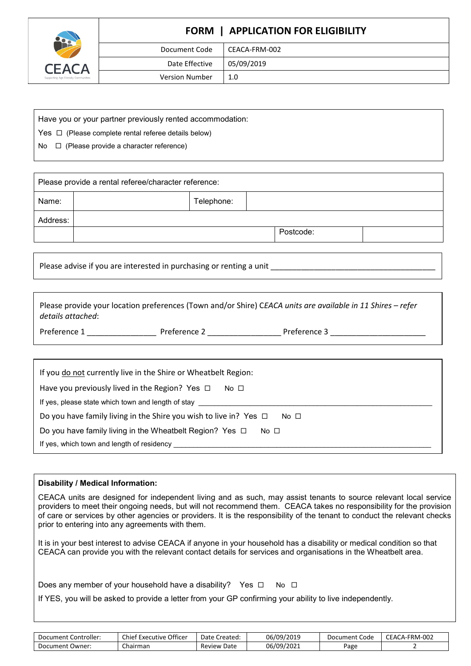

# **FORM | APPLICATION FOR ELIGIBILITY**

| Document Code         | CEACA-FRM-002 |
|-----------------------|---------------|
| Date Effective        | 05/09/2019    |
| <b>Version Number</b> | 1.0           |

Have you or your partner previously rented accommodation:

Yes  $\Box$  (Please complete rental referee details below)

No □ (Please provide a character reference)

| Please provide a rental referee/character reference: |  |            |  |           |  |
|------------------------------------------------------|--|------------|--|-----------|--|
| Name:                                                |  | Telephone: |  |           |  |
| Address:                                             |  |            |  |           |  |
|                                                      |  |            |  | Postcode: |  |

Please advise if you are interested in purchasing or renting a unit

Please provide your location preferences (Town and/or Shire) C*EACA units are available in 11 Shires – refer details attached*:

Preference 1 \_\_\_\_\_\_\_\_\_\_\_\_\_\_\_\_ Preference 2 \_\_\_\_\_\_\_\_\_\_\_\_\_\_\_\_\_ Preference 3 \_\_\_\_\_\_\_\_\_\_\_\_\_\_\_\_\_\_\_\_\_\_

| If you do not currently live in the Shire or Wheatbelt Region:                            |
|-------------------------------------------------------------------------------------------|
| Have you previously lived in the Region? Yes $\Box$<br>$No$ $\Box$                        |
| If yes, please state which town and length of stay                                        |
| Do you have family living in the Shire you wish to live in? Yes $\Box$<br>No <sub>1</sub> |
| Do you have family living in the Wheatbelt Region? Yes $\Box$<br>No $\Box$                |
| If yes, which town and length of residency                                                |

# **Disability / Medical Information:**

CEACA units are designed for independent living and as such, may assist tenants to source relevant local service providers to meet their ongoing needs, but will not recommend them. CEACA takes no responsibility for the provision of care or services by other agencies or providers. It is the responsibility of the tenant to conduct the relevant checks prior to entering into any agreements with them.

It is in your best interest to advise CEACA if anyone in your household has a disability or medical condition so that CEACA can provide you with the relevant contact details for services and organisations in the Wheatbelt area.

Does any member of your household have a disability? Yes  $\Box$  No  $\Box$ 

If YES, you will be asked to provide a letter from your GP confirming your ability to live independently.

| Document<br>: Controller: | Officer<br>Chief I<br>Executive | Date (<br>Created | 06/09/2019 | Code<br>Document | ACA-FRM-002<br>$\sim$ $\sim$ $\sim$<br>FΑO |
|---------------------------|---------------------------------|-------------------|------------|------------------|--------------------------------------------|
| Owner:<br>Document        | Chairman                        | Date<br>Review    | 06/09/2021 | Page             |                                            |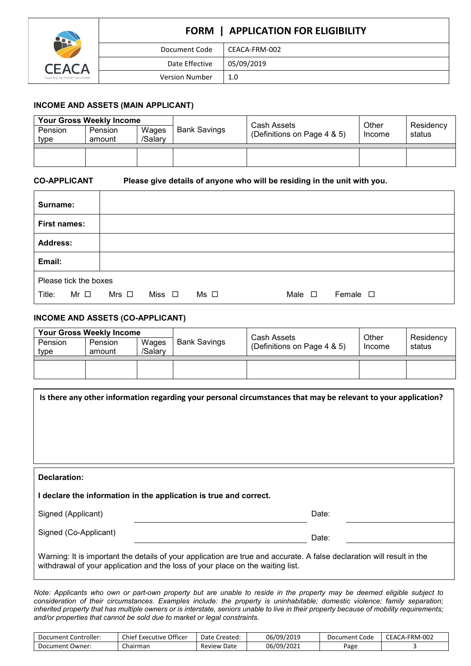

# **FORM | APPLICATION FOR ELIGIBILITY** Document Code | CEACA-FRM-002 Date Effective | 05/09/2019 Version Number | 1.0

# **INCOME AND ASSETS (MAIN APPLICANT)**

| <b>Your Gross Weekly Income</b> |                          |                  |              | Cash Assets                 | Other  | Residency |
|---------------------------------|--------------------------|------------------|--------------|-----------------------------|--------|-----------|
| Pension<br>type                 | <b>Pension</b><br>amount | Wages<br>/Salarv | Bank Savings | (Definitions on Page 4 & 5) | Income | status    |
|                                 |                          |                  |              |                             |        |           |

**CO-APPLICANT Please give details of anyone who will be residing in the unit with you.** 

| Surname:              |           |              |             |           |                |                  |
|-----------------------|-----------|--------------|-------------|-----------|----------------|------------------|
| <b>First names:</b>   |           |              |             |           |                |                  |
| <b>Address:</b>       |           |              |             |           |                |                  |
| Email:                |           |              |             |           |                |                  |
| Please tick the boxes |           |              |             |           |                |                  |
| Title:                | Mr $\Box$ | Mrs $\,\Box$ | Miss $\Box$ | $Ms \Box$ | Male $\square$ | Female $\square$ |

# **INCOME AND ASSETS (CO-APPLICANT)**

| <b>Your Gross Weekly Income</b> |                          |                  |                     |                                            |                 |                     |
|---------------------------------|--------------------------|------------------|---------------------|--------------------------------------------|-----------------|---------------------|
| Pension<br>type                 | <b>Pension</b><br>amount | Wages<br>/Salarv | <b>Bank Savings</b> | Cash Assets<br>(Definitions on Page 4 & 5) | Other<br>Income | Residency<br>status |
|                                 |                          |                  |                     |                                            |                 |                     |
|                                 |                          |                  |                     |                                            |                 |                     |
|                                 |                          |                  |                     |                                            |                 |                     |

|                       | Is there any other information regarding your personal circumstances that may be relevant to your application?                                                                                           |
|-----------------------|----------------------------------------------------------------------------------------------------------------------------------------------------------------------------------------------------------|
| Declaration:          |                                                                                                                                                                                                          |
|                       | I declare the information in the application is true and correct.                                                                                                                                        |
| Signed (Applicant)    | Date:                                                                                                                                                                                                    |
| Signed (Co-Applicant) | Date:                                                                                                                                                                                                    |
|                       | Warning: It is important the details of your application are true and accurate. A false declaration will result in the<br>withdrawal of your application and the loss of your place on the waiting list. |

*Note: Applicants who own or part-own property but are unable to reside in the property may be deemed eligible subject to consideration of their circumstances. Examples include: the property is uninhabitable; domestic violence; family separation; inherited property that has multiple owners or is interstate, seniors unable to live in their property because of mobility requirements; and/or properties that cannot be sold due to market or legal constraints.*

| Document Controller: | Chief Executive Officer | Date Created:      | 06/09/2019 | Document Code | CEACA-FRM-002 |
|----------------------|-------------------------|--------------------|------------|---------------|---------------|
| Document Owner:      | Chairman                | <b>Review Date</b> | 06/09/2021 | Page          |               |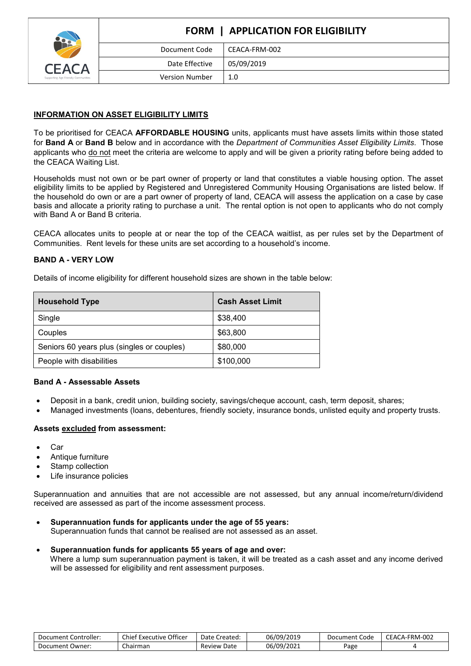

# **FORM | APPLICATION FOR ELIGIBILITY** Document Code | CEACA-FRM-002 Date Effective | 05/09/2019 Version Number | 1.0

# **INFORMATION ON ASSET ELIGIBILITY LIMITS**

To be prioritised for CEACA **AFFORDABLE HOUSING** units, applicants must have assets limits within those stated for **Band A** or **Band B** below and in accordance with the *Department of Communities Asset Eligibility Limits*. Those applicants who do not meet the criteria are welcome to apply and will be given a priority rating before being added to the CEACA Waiting List.

Households must not own or be part owner of property or land that constitutes a viable housing option. The asset eligibility limits to be applied by Registered and Unregistered Community Housing Organisations are listed below. If the household do own or are a part owner of property of land, CEACA will assess the application on a case by case basis and allocate a priority rating to purchase a unit. The rental option is not open to applicants who do not comply with Band A or Band B criteria.

CEACA allocates units to people at or near the top of the CEACA waitlist, as per rules set by the Department of Communities. Rent levels for these units are set according to a household's income.

# **BAND A - VERY LOW**

Details of income eligibility for different household sizes are shown in the table below:

| <b>Household Type</b>                      | <b>Cash Asset Limit</b> |
|--------------------------------------------|-------------------------|
| Single                                     | \$38,400                |
| Couples                                    | \$63,800                |
| Seniors 60 years plus (singles or couples) | \$80,000                |
| People with disabilities                   | \$100,000               |

# **Band A - Assessable Assets**

- Deposit in a bank, credit union, building society, savings/cheque account, cash, term deposit, shares;
- Managed investments (loans, debentures, friendly society, insurance bonds, unlisted equity and property trusts.

# **Assets excluded from assessment:**

- Car
- Antique furniture
- Stamp collection
- Life insurance policies

Superannuation and annuities that are not accessible are not assessed, but any annual income/return/dividend received are assessed as part of the income assessment process.

- **Superannuation funds for applicants under the age of 55 years:**  Superannuation funds that cannot be realised are not assessed as an asset.
- **Superannuation funds for applicants 55 years of age and over:** Where a lump sum superannuation payment is taken, it will be treated as a cash asset and any income derived will be assessed for eligibility and rent assessment purposes.

| Controller:<br>Document ' | Officer<br>$\sim$<br>:hief I<br>Executive<br>∼ | Date C<br>: Created | 06/09/2019 | Code<br>Document | <b>CA-FRM-002</b><br>$\overline{\phantom{0}}$<br>FAL. |
|---------------------------|------------------------------------------------|---------------------|------------|------------------|-------------------------------------------------------|
| Document '<br>Owner:      | $\sim$<br>hairman<br>∼                         | Date<br>Review      | 06/09/2021 | Page             |                                                       |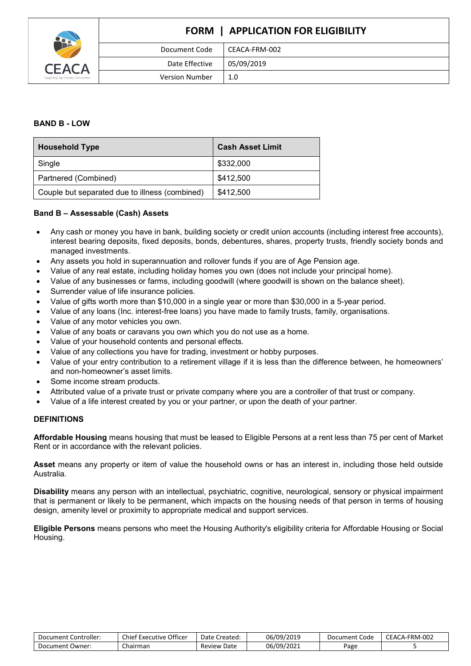

# **FORM | APPLICATION FOR ELIGIBILITY** Document Code | CEACA-FRM-002 Date Effective | 05/09/2019 Version Number 1.0

## **BAND B - LOW**

| <b>Household Type</b>                          | <b>Cash Asset Limit</b> |
|------------------------------------------------|-------------------------|
| Single                                         | \$332,000               |
| Partnered (Combined)                           | \$412,500               |
| Couple but separated due to illness (combined) | \$412,500               |

## **Band B – Assessable (Cash) Assets**

- Any cash or money you have in bank, building society or credit union accounts (including interest free accounts), interest bearing deposits, fixed deposits, bonds, debentures, shares, property trusts, friendly society bonds and managed investments.
- Any assets you hold in superannuation and rollover funds if you are of Age Pension age.
- Value of any real estate, including holiday homes you own (does not include your principal home).
- Value of any businesses or farms, including goodwill (where goodwill is shown on the balance sheet).
- Surrender value of life insurance policies.
- Value of gifts worth more than \$10,000 in a single year or more than \$30,000 in a 5-year period.
- Value of any loans (Inc. interest-free loans) you have made to family trusts, family, organisations.
- Value of any motor vehicles you own.
- Value of any boats or caravans you own which you do not use as a home.
- Value of your household contents and personal effects.
- Value of any collections you have for trading, investment or hobby purposes.
- Value of your entry contribution to a retirement village if it is less than the difference between, he homeowners' and non-homeowner's asset limits.
- Some income stream products.
- Attributed value of a private trust or private company where you are a controller of that trust or company.
- Value of a life interest created by you or your partner, or upon the death of your partner.

#### **DEFINITIONS**

**Affordable Housing** means housing that must be leased to Eligible Persons at a rent less than 75 per cent of Market Rent or in accordance with the relevant policies.

**Asset** means any property or item of value the household owns or has an interest in, including those held outside Australia.

**Disability** means any person with an intellectual, psychiatric, cognitive, neurological, sensory or physical impairment that is permanent or likely to be permanent, which impacts on the housing needs of that person in terms of housing design, amenity level or proximity to appropriate medical and support services.

**Eligible Persons** means persons who meet the Housing Authority's eligibility criteria for Affordable Housing or Social Housing.

| : Controller:<br>Document C | Officer<br>Chief Executive | Date Created:  | 06/09/2019 | Document Code | <b>CEACA</b><br>`A-FRM-002<br>UL. |
|-----------------------------|----------------------------|----------------|------------|---------------|-----------------------------------|
| Document Owner:             | Chairman                   | Date<br>Review | 06/09/2021 | Page          |                                   |